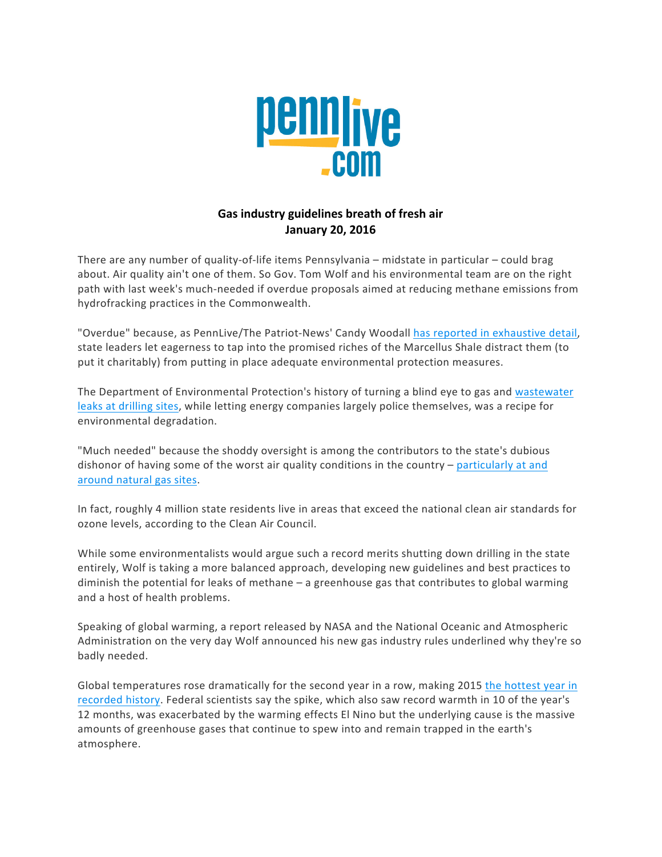

## Gas industry guidelines breath of fresh air **January 20, 2016**

There are any number of quality-of-life items Pennsylvania – midstate in particular – could brag about. Air quality ain't one of them. So Gov. Tom Wolf and his environmental team are on the right path with last week's much-needed if overdue proposals aimed at reducing methane emissions from hydrofracking practices in the Commonwealth.

"Overdue" because, as PennLive/The Patriot-News' Candy Woodall has reported in exhaustive detail, state leaders let eagerness to tap into the promised riches of the Marcellus Shale distract them (to put it charitably) from putting in place adequate environmental protection measures.

The Department of Environmental Protection's history of turning a blind eye to gas and wastewater leaks at drilling sites, while letting energy companies largely police themselves, was a recipe for environmental degradation.

"Much needed" because the shoddy oversight is among the contributors to the state's dubious dishonor of having some of the worst air quality conditions in the country  $-$  particularly at and around natural gas sites.

In fact, roughly 4 million state residents live in areas that exceed the national clean air standards for ozone levels, according to the Clean Air Council.

While some environmentalists would argue such a record merits shutting down drilling in the state entirely, Wolf is taking a more balanced approach, developing new guidelines and best practices to diminish the potential for leaks of methane - a greenhouse gas that contributes to global warming and a host of health problems.

Speaking of global warming, a report released by NASA and the National Oceanic and Atmospheric Administration on the very day Wolf announced his new gas industry rules underlined why they're so badly needed.

Global temperatures rose dramatically for the second year in a row, making 2015 the hottest year in recorded history. Federal scientists say the spike, which also saw record warmth in 10 of the year's 12 months, was exacerbated by the warming effects El Nino but the underlying cause is the massive amounts of greenhouse gases that continue to spew into and remain trapped in the earth's atmosphere.